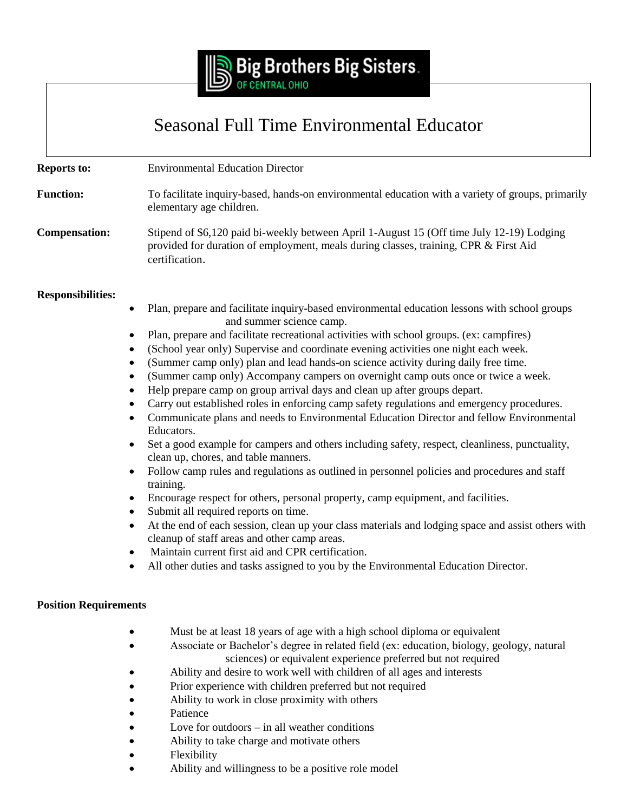

## Seasonal Full Time Environmental Educator

**Reports to:** Environmental Education Director

**Function:** To facilitate inquiry-based, hands-on environmental education with a variety of groups, primarily elementary age children.

**Compensation:** Stipend of \$6,120 paid bi-weekly between April 1-August 15 (Off time July 12-19) Lodging provided for duration of employment, meals during classes, training, CPR & First Aid certification.

## **Responsibilities:**

- Plan, prepare and facilitate inquiry-based environmental education lessons with school groups and summer science camp.
- Plan, prepare and facilitate recreational activities with school groups. (ex: campfires)
- (School year only) Supervise and coordinate evening activities one night each week.
- (Summer camp only) plan and lead hands-on science activity during daily free time.
- (Summer camp only) Accompany campers on overnight camp outs once or twice a week.
- Help prepare camp on group arrival days and clean up after groups depart.
- Carry out established roles in enforcing camp safety regulations and emergency procedures.
- Communicate plans and needs to Environmental Education Director and fellow Environmental Educators.
- Set a good example for campers and others including safety, respect, cleanliness, punctuality, clean up, chores, and table manners.
- Follow camp rules and regulations as outlined in personnel policies and procedures and staff training.
- Encourage respect for others, personal property, camp equipment, and facilities.
- Submit all required reports on time.
- At the end of each session, clean up your class materials and lodging space and assist others with cleanup of staff areas and other camp areas.
- Maintain current first aid and CPR certification.
- All other duties and tasks assigned to you by the Environmental Education Director.

## **Position Requirements**

- Must be at least 18 years of age with a high school diploma or equivalent
- Associate or Bachelor's degree in related field (ex: education, biology, geology, natural sciences) or equivalent experience preferred but not required
	- Ability and desire to work well with children of all ages and interests
- Prior experience with children preferred but not required
- Ability to work in close proximity with others
- Patience
- Love for outdoors in all weather conditions
- Ability to take charge and motivate others
- Flexibility
- Ability and willingness to be a positive role model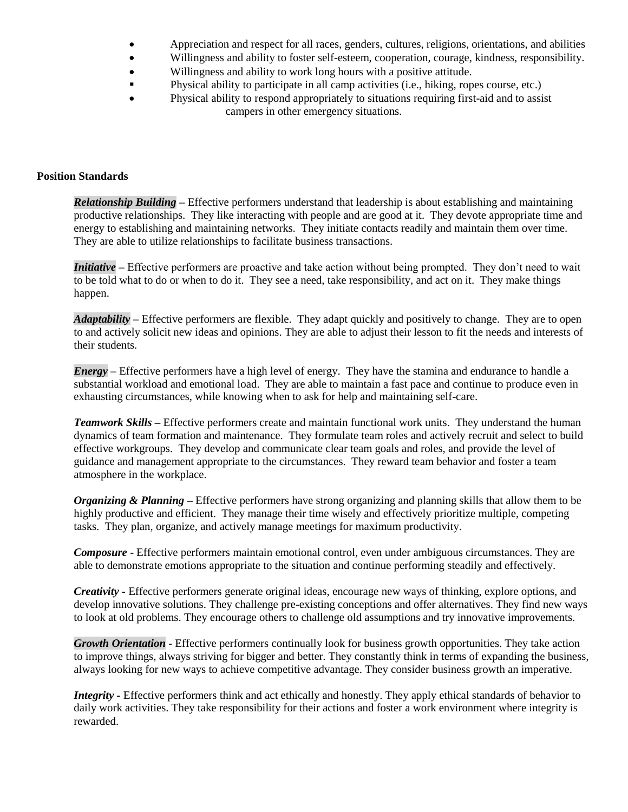- Appreciation and respect for all races, genders, cultures, religions, orientations, and abilities
- Willingness and ability to foster self-esteem, cooperation, courage, kindness, responsibility.
- Willingness and ability to work long hours with a positive attitude.
- Physical ability to participate in all camp activities (i.e., hiking, ropes course, etc.)
- Physical ability to respond appropriately to situations requiring first-aid and to assist campers in other emergency situations.

## **Position Standards**

*Relationship Building –* Effective performers understand that leadership is about establishing and maintaining productive relationships. They like interacting with people and are good at it. They devote appropriate time and energy to establishing and maintaining networks. They initiate contacts readily and maintain them over time. They are able to utilize relationships to facilitate business transactions.

*Initiative –* Effective performers are proactive and take action without being prompted. They don't need to wait to be told what to do or when to do it. They see a need, take responsibility, and act on it. They make things happen.

*Adaptability –* Effective performers are flexible. They adapt quickly and positively to change. They are to open to and actively solicit new ideas and opinions. They are able to adjust their lesson to fit the needs and interests of their students.

*Energy* – Effective performers have a high level of energy. They have the stamina and endurance to handle a substantial workload and emotional load. They are able to maintain a fast pace and continue to produce even in exhausting circumstances, while knowing when to ask for help and maintaining self-care.

*Teamwork Skills –* Effective performers create and maintain functional work units. They understand the human dynamics of team formation and maintenance. They formulate team roles and actively recruit and select to build effective workgroups. They develop and communicate clear team goals and roles, and provide the level of guidance and management appropriate to the circumstances. They reward team behavior and foster a team atmosphere in the workplace.

*Organizing & Planning –* Effective performers have strong organizing and planning skills that allow them to be highly productive and efficient. They manage their time wisely and effectively prioritize multiple, competing tasks. They plan, organize, and actively manage meetings for maximum productivity.

*Composure* - Effective performers maintain emotional control, even under ambiguous circumstances. They are able to demonstrate emotions appropriate to the situation and continue performing steadily and effectively.

*Creativity -* Effective performers generate original ideas, encourage new ways of thinking, explore options, and develop innovative solutions. They challenge pre-existing conceptions and offer alternatives. They find new ways to look at old problems. They encourage others to challenge old assumptions and try innovative improvements.

*Growth Orientation* - Effective performers continually look for business growth opportunities. They take action to improve things, always striving for bigger and better. They constantly think in terms of expanding the business, always looking for new ways to achieve competitive advantage. They consider business growth an imperative.

*Integrity -* Effective performers think and act ethically and honestly. They apply ethical standards of behavior to daily work activities. They take responsibility for their actions and foster a work environment where integrity is rewarded.